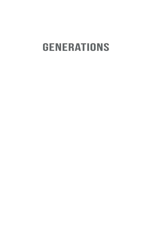## **GENERATIONS**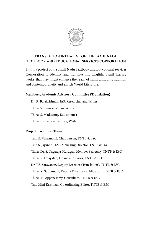

### **TRANSLATION INITIATIVE OF THE TAMIL NADU TEXTBOOK AND EDUCATIONAL SERVICES CORPORATION**

This is a project of the Tamil Nadu Textbook and Educational Services Corporation to identify and translate into English, Tamil literary works, that they might enhance the reach of Tamil antiquity, tradition and contemporaneity and enrich World Literature.

### **Members, Academic Advisory Committee (Translation)**

Dr. R. Balakrishnan, IAS, Researcher and Writer Thiru. S. Ramakrishnan, Writer Thiru. S. Madasamy, Educationist Thiru. P.K. Saravanan, IRS, Writer

### **Project Execution Team**

Tmt. B. Valarmathi, Chairperson, TNTB & ESC Tmt. S. Jayandhi, IAS, Managing Director, TNTB & ESC Thiru. Dr. S. Nagaraja Murugan, Member Secretary, TNTB & ESC Thiru. R. Dhayalan, Financial Advisor, TNTB & ESC Dr. T.S. Saravanan, Deputy Director (Translation), TNTB & ESC Thiru. K. Subramani, Deputy Director (Publication), TNTB & ESC Thiru. M. Appanasamy, Consultant, TNTB & ESC Tmt. Mini Krishnan, Co ordinating Editor, TNTB & ESC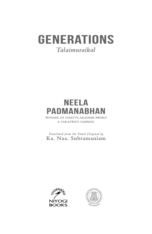### **GENERATIONS** Talaimuraikal

# **NEELA**

 $\overline{y}$ & SARASWATI SAMMAN

Translated from the Tamil Original by Ka. Naa. Subramaniam



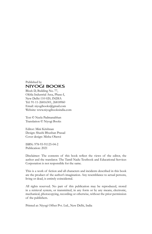#### Published by **NIYOGI BOOKS**

Block D, Building No. 77, Okhla Industrial Area, Phase-I, New Delhi-110 020, INDIA Tel: 91-11-26816301, 26818960 Email: niyogibooks@gmail.com Website: www.niyogibooksindia.com

Text © Neela Padmanabhan Translation © Niyogi Books

Editor: Mini Krishnan Design: Shashi Bhushan Prasad Cover design: Misha Oberoi

ISBN: 978-93-91125-04-2 Publication: 2021

Disclaimer: The contents of this book reflect the views of the editor, the author and the translator. The Tamil Nadu Textbook and Educational Services Corporation is not responsible for the same.

This is a work of fiction and all characters and incidents described in this book are the product of the author's imagination. Any resemblance to actual persons, living or dead, is entirely coincidental.

All rights reserved. No part of this publication may be reproduced, stored in a retrieval system, or transmitted, in any form or by any means, electronic, mechanical, photocopying, recording or otherwise, without the prior permission of the publishers.

Printed at: Niyogi Offset Pvt. Ltd., New Delhi, India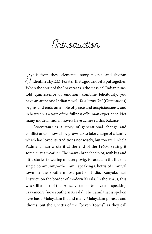Introduction

 $\mathcal{J}^{\text{t}}$  is from these elements—story, people, and rhythm identified by E.M. Forster, that a good novel is put together. When the spirit of the "navarasas" (the classical Indian ninefold quintessence of emotion) combine felicitously, you have an authentic Indian novel. *Talaimuraikal* (*Generations*) begins and ends on a note of peace and auspiciousness, and in between is a taste of the fullness of human experience. Not many modern Indian novels have achieved this balance.

*Generations* is a story of generational change and conflict and of how a boy grows up to take charge of a family which has loved its traditions not wisely, but too well. Neela Padmanabhan wrote it at the end of the 1960s, setting it some 25 years earlier. The many - branched plot, with big and little stories flowering on every twig, is rooted in the life of a single community—the Tamil speaking Chettis of Eraniyal town in the southernmost part of India, Kanyakumari District, on the border of modern Kerala. In the 1940s, this was still a part of the princely state of Malayalam-speaking Travancore (now southern Kerala). The Tamil that is spoken here has a Malayalam lilt and many Malayalam phrases and idioms, but the Chettis of the "Seven Towns", as they call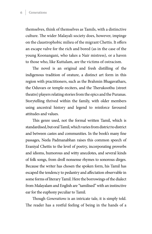themselves, think of themselves as Tamils, with a distinctive culture. The wider Malayali society does, however, impinge on the claustrophobic milieu of the migrant Chettis. It offers an escape valve for the rich and bored (as in the case of the young Koonangani, who takes a Nair mistress), or a haven to those who, like Kuttalam, are the victims of ostracism.

The novel is an original and fresh distilling of the indigenous tradition of orature, a distinct art form in this region with practitioners, such as the Brahmin Bhagavathars, the Oduvars or temple-reciters, and the Therukoothu (street theatre) players relating stories from the epics and the Puranas. Storytelling thrived within the family, with older members using ancestral history and legend to reinforce favoured attitudes and values.

This genre used, not the formal written Tamil, which is standardised, but oral Tamil, which varies from district to district and between castes and communities. In the book's many fine passages, Neela Padmanabhan raises this common speech of Eraniyal Chettis to the level of poetry, incorporating proverbs and idioms, humorous and witty anecdotes, and several kinds of folk songs, from droll nonsense rhymes to sonorous dirges. Because the writer has chosen the spoken form, his Tamil has escaped the tendency to pedantry and affectation observable in some forms of literary Tamil. Here the borrowings of the dialect from Malayalam and English are "tamilised" with an instinctive ear for the euphony peculiar to Tamil.

Though *Generations* is an intricate tale, it is simply told. The reader has a restful feeling of being in the hands of a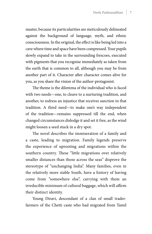master, because its particularities are meticulously delineated against the background of language, myth, and ethnic consciousness. In the original, the effect is like being led into a cave where time and space have been compressed. Your pupils slowly expand to take in the surrounding frescoes, executed with pigments that you recognise immediately as taken from the earth that is common to all, although you may be from another part of it. Character after character comes alive for you, as you share the vision of the author-protagonist.

The theme is the dilemma of the individual who is faced with two needs—one, to cleave to a nurturing tradition, and another, to redress an injustice that receives sanction in that tradition. A third need—to make one's way independent of the tradition—remains suppressed till the end, when changed circumstances dislodge it and set it free, as the wind might loosen a seed stuck in a dry spot.

The novel describes the immiseration of a family and a caste, leading to migration. Family legends preserve the experience of uprooting and migrations within the southern country. These "little migrations over relatively smaller distances than those across the seas" disprove the stereotype of "unchanging India". Many families, even in the relatively more stable South, have a history of having come from "somewhere else", carrying with them an irreducible minimum of cultural baggage, which will affirm their distinct identity.

Young Diravi, descendant of a clan of small traderfarmers of the Chetti caste who had migrated from Tamil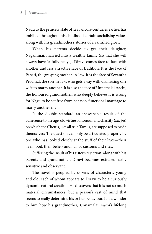Nadu to the princely state of Travancore centuries earlier, has imbibed throughout his childhood certain socialising values along with his grandmother's stories of a vanished glory.

When his parents decide to get their daughter, Nagammai, married into a wealthy family (so that she will always have "a fully belly"), Diravi comes face to face with another and less attractive face of tradition. It is the face of Papati, the grasping mother-in-law. It is the face of Sevantha Perumal, the son-in-law, who gets away with dismissing one wife to marry another. It is also the face of Unnamalai Aachi, the honoured grandmother, who deeply believes it is wrong for Nagu to be set free from her non-functional marriage to marry another man.

Is the double standard an inescapable result of the adherence to the age-old virtue of honour and chastity (*karpu*) on which the Chettis, like all true Tamils, are supposed to pride themselves? The question can only be articulated properly by one who has looked closely at the stuff of their lives—their livelihood, their beliefs and habits, customs and rites.

Suffering the insult of his sister's rejection, along with his parents and grandmother, Diravi becomes extraordinarily sensitive and observant.

The novel is peopled by dozens of characters, young and old, each of whom appears to Diravi to be a curiously dynamic natural creation. He discovers that it is not so much material circumstances, but a person's cast of mind that seems to really determine his or her behaviour. It is a wonder to him how his grandmother, Unnamalai Aachi's lifelong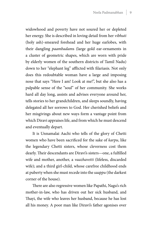widowhood and poverty have not soured her or depleted her energy. She is described in loving detail from her *vibhuti* (holy ash)-smeared forehead and her huge earlobes, with their dangling *paambadam*s (large gold ear-ornaments in a cluster of geometric shapes, which are worn with pride by elderly women of the southern districts of Tamil Nadu) down to her "elephant leg" afflicted with filariasis. Not only does this redoubtable woman have a large and imposing nose that says "Here I am! Look at me!", but she also has a palpable sense of the "soul" of her community. She works hard all day long, assists and advises everyone around her, tells stories to her grandchildren, and sleeps soundly, having delegated all her sorrows to God. Her cherished beliefs and her misgivings about new ways form a vantage point from which Diravi appraises life, and from which he must descend and eventually depart.

It is Unnamalai Aachi who tells of the glory of Chetti women who have been sacrificed for the sake of *karpu*, like the legendary Chetti sisters, whose cleverness cost them dearly. Their descendants are Diravi's sisters—one, a fulfilled wife and mother, another, a *vaazhavetti* (lifeless, discarded wife); and a third girl-child, whose carefree childhood ends at puberty when she must recede into the *saappu* (the darkest corner of the house).

There are also regressive women like Papathi, Nagu's rich mother-in-law, who has driven out her sick husband, and Thayi, the wife who leaves her husband, because he has lost all his money. A poor man like Diravi's father agonises over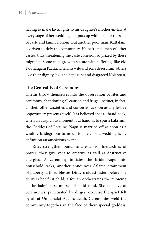having to make lavish gifts to his daughter's mother-in-law at every stage of her wedding, but puts up with it all for the sake of caste and family honour. But another poor man, Kuttalam, is driven to defy the community. He befriends men of other castes, thus threatening the caste cohesion so prized by these migrants. Some men grow in statute with suffering, like old Koonangani Paatta, when his wife and sons desert him; others lose their dignity, like the bankrupt and disgraced Kolappan.

### **The Centrality of Ceremony**

Chettis throw themselves into the observation of rites and ceremony, abandoning all caution and frugal instinct; in fact, all their other anxieties and concerns, as soon as any festive opportunity presents itself. It is believed that to hand back, when an auspicious moment is at hand, is to spurn Lakshmi, the Goddess of Fortune. Nagu is married off as soon as a wealthy bridegroom turns up for her, for a wedding is by definition an auspicious event.

Rites strengthen bonds and establish hierarchies of power; they give vent to creative as well as destructive energies. A ceremony initiates the bride Nagu into household tasks, another announces Salam's attainment of puberty, a third blesses Diravi's oldest sister, before she delivers her first child, a fourth orchestrates the rejoicing at the baby's first morsel of solid food. Sixteen days of ceremonies, punctuated by dirges, exorcise the grief felt by all at Unnamalai Aachi's death. Ceremonies weld the community together in the face of their special goddess,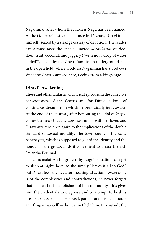Nagammai, after whom the luckless Nagu has been named. At the Oduparai festival, held once in 12 years, Diravi finds himself "seized by a strange ecstasy of devotion". The reader can almost taste the special, sacred *kozhukattai* of riceflour, fruit, coconut, and jaggery ("with not a drop of water added"), baked by the Chetti families in underground pits in the open field, where Goddess Nagammai has stood ever since the Chettis arrived here, fleeing from a king's rage.

### **Diravi's Awakening**

These and other fantastic and lyrical episodes in the collective consciousness of the Chettis are, for Diravi, a kind of continuous dream, from which he periodically jerks awake. At the end of the festival, after honouring the idol of *karpu*, comes the news that a widow has run off with her lover, and Diravi awakens once again to the implications of the double standard of sexual morality. The town council (the caste panchayat), which is supposed to guard the identity and the honour of the group, finds it convenient to please the rich Sevantha Perumal.

Unnamalai Aachi, grieved by Nagu's situation, can get to sleep at night, because she simply "leaves it all to God", but Diravi feels the need for meaningful action. Aware as he is of the complexities and contradictions, he never forgets that he is a cherished offshoot of his community. This gives him the credentials to diagnose and to attempt to heal its great sickness of spirit. His weak parents and his neighbours are "frogs-in-a-well"—they cannot help him. It is outside the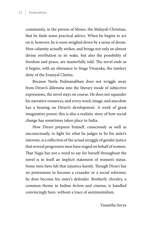community, in the person of Moses, the Malayali Christian, that he finds some practical advice. When he begins to act on it, however, he is soon weighed down by a sense of doom. How calamity actually strikes, and brings not only an almost divine retribution in its wake, but also the possibility of freedom and peace, are masterfully told. The novel ends as it begins, with an obeisance to Singa Vinayaka, the tutelary deity of the Eraniyal Chettis.

Because Neela Padmanabhan does not wriggle away from Diravi's dilemma into the literary mode of subjective expressions, the novel stays on course. He does not squander his narrative resources, and every word, image, and anecdote has a bearing on Diravi's development. A work of great imaginative power, this is also a realistic story of how social change has sometimes taken place in India.

How Diravi prepares himself, consciously as well as unconsciously, to fight for what he judges to be his sister's interests, is a reflection of the actual struggle of gender justice that several progressive men have waged on behalf of women. That Nagu has not a word to say for herself throughout the novel is in itself an implicit statement of women's status. Some men have felt that injustice keenly. Though Diravi has no pretensions to become a crusader or a social reformer, he does become his sister's defender. Brotherly chivalry, a common theme in Indian fiction and cinema, is handled convincingly here, without a trace of sentimentalism.

Vasantha Surya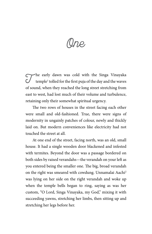One

The early dawn was cold with the Singa Vinayaka<br>temple<sup>1</sup> tolled for the first puja of the day and the waves temple<sup>1</sup> tolled for the first puja of the day and the waves of sound, when they reached the long street stretching from east to west, had lost much of their volume and turbulence, retaining only their somewhat spiritual urgency.

The two rows of houses in the street facing each other were small and old-fashioned. True, there were signs of modernity in ungainly patches of colour, newly and thickly laid on. But modern conveniences like electricity had not touched the street at all.

At one end of the street, facing north, was an old, small house. It had a single wooden door blackened and infested with termites. Beyond the door was a passage bordered on both sides by raised verandahs—the verandah on your left as you entered being the smaller one. The big, broad verandah on the right was smeared with cowdung. Unnamalai Aachi<sup>2</sup> was lying on her side on the right verandah and woke up when the temple bells began to ring, saying as was her custom, "O Lord, Singa Vinayaka, my God," mixing it with succeeding yawns, stretching her limbs, then sitting up and stretching her legs before her.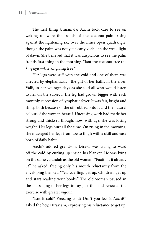The first thing Unnamalai Aachi took care to see on waking up were the fronds of the coconut-palm rising against the lightening sky over the inner open quadrangle, though the palm was not yet clearly visible in the weak light of dawn. She believed that it was auspicious to see the palm fronds first thing in the morning. "Isnt the coconut tree the *karpaga*<sup>3</sup> —the all giving tree?"

Her legs were stiff with the cold and one of them was affected by elephantiasis—the gift of her baths in the river, Valli, in her younger days as she told all who would listen to her on the subject. The leg had grown bigger with each monthly succession of lymphatic fever. It was fair, bright and shiny, both because of the oil rubbed onto it and the natural colour of the woman herself. Unceasing work had made her strong and thickset, though, now, with age, she was losing weight. Her legs hurt all the time. On rising in the morning, she massaged her legs from toe to thigh with a skill and ease born of daily habit.

Aachi's adored grandson, Diravi, was trying to ward off the cold by curling up inside his blanket. He was lying on the same verandah as the old woman. "Paatti, is it already 5?" he asked, freeing only his mouth reluctantly from the enveloping blanket. "Yes…darling, get up. Children, get up and start reading your books." The old woman paused in the massaging of her legs to say just this and renewed the exercise with greater vigour.

"Isnt it cold? Freezing cold? Don't you feel it Aachi?" asked the boy, Diraviam, expressing his reluctance to get up.